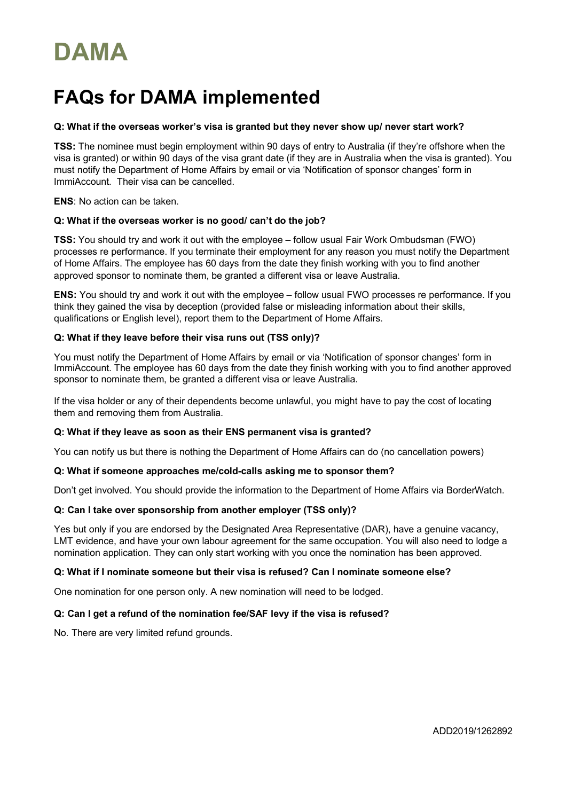# **DAMA**

# **FAQs for DAMA implemented**

## **Q: What if the overseas worker's visa is granted but they never show up/ never start work?**

**TSS:** The nominee must begin employment within 90 days of entry to Australia (if they're offshore when the visa is granted) or within 90 days of the visa grant date (if they are in Australia when the visa is granted). You must notify the Department of Home Affairs by email or via 'Notification of sponsor changes' form in ImmiAccount. Their visa can be cancelled.

**ENS**: No action can be taken.

#### **Q: What if the overseas worker is no good/ can't do the job?**

**TSS:** You should try and work it out with the employee – follow usual Fair Work Ombudsman (FWO) processes re performance. If you terminate their employment for any reason you must notify the Department of Home Affairs. The employee has 60 days from the date they finish working with you to find another approved sponsor to nominate them, be granted a different visa or leave Australia.

**ENS:** You should try and work it out with the employee – follow usual FWO processes re performance. If you think they gained the visa by deception (provided false or misleading information about their skills, qualifications or English level), report them to the Department of Home Affairs.

# **Q: What if they leave before their visa runs out (TSS only)?**

You must notify the Department of Home Affairs by email or via 'Notification of sponsor changes' form in ImmiAccount. The employee has 60 days from the date they finish working with you to find another approved sponsor to nominate them, be granted a different visa or leave Australia.

If the visa holder or any of their dependents become unlawful, you might have to pay the cost of locating them and removing them from Australia.

#### **Q: What if they leave as soon as their ENS permanent visa is granted?**

You can notify us but there is nothing the Department of Home Affairs can do (no cancellation powers)

#### **Q: What if someone approaches me/cold-calls asking me to sponsor them?**

Don't get involved. You should provide the information to the Department of Home Affairs via BorderWatch.

#### **Q: Can I take over sponsorship from another employer (TSS only)?**

Yes but only if you are endorsed by the Designated Area Representative (DAR), have a genuine vacancy, LMT evidence, and have your own labour agreement for the same occupation. You will also need to lodge a nomination application. They can only start working with you once the nomination has been approved.

#### **Q: What if I nominate someone but their visa is refused? Can I nominate someone else?**

One nomination for one person only. A new nomination will need to be lodged.

# **Q: Can I get a refund of the nomination fee/SAF levy if the visa is refused?**

No. There are very limited refund grounds.